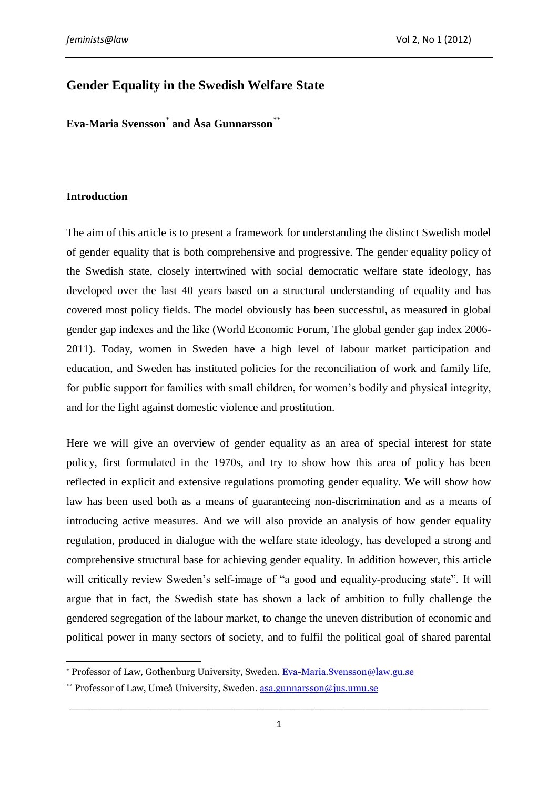# **Gender Equality in the Swedish Welfare State**

**Eva-Maria Svensson***\** **and Åsa Gunnarsson***\*\**

# **Introduction**

The aim of this article is to present a framework for understanding the distinct Swedish model of gender equality that is both comprehensive and progressive. The gender equality policy of the Swedish state, closely intertwined with social democratic welfare state ideology, has developed over the last 40 years based on a structural understanding of equality and has covered most policy fields. The model obviously has been successful, as measured in global gender gap indexes and the like (World Economic Forum, The global gender gap index 2006- 2011). Today, women in Sweden have a high level of labour market participation and education, and Sweden has instituted policies for the reconciliation of work and family life, for public support for families with small children, for women's bodily and physical integrity, and for the fight against domestic violence and prostitution.

Here we will give an overview of gender equality as an area of special interest for state policy, first formulated in the 1970s, and try to show how this area of policy has been reflected in explicit and extensive regulations promoting gender equality. We will show how law has been used both as a means of guaranteeing non-discrimination and as a means of introducing active measures. And we will also provide an analysis of how gender equality regulation, produced in dialogue with the welfare state ideology, has developed a strong and comprehensive structural base for achieving gender equality. In addition however, this article will critically review Sweden's self-image of "a good and equality-producing state". It will argue that in fact, the Swedish state has shown a lack of ambition to fully challenge the gendered segregation of the labour market, to change the uneven distribution of economic and political power in many sectors of society, and to fulfil the political goal of shared parental

 $\overline{a}$ \* Professor of Law, Gothenburg University, Sweden. [Eva-Maria.Svensson@law.gu.se](mailto:Eva-Maria.Svensson@law.gu.se)

<sup>\*\*</sup> Professor of Law, Umeå University, Sweden. [asa.gunnarsson@jus.umu.se](mailto:asa.gunnarsson@jus.umu.se)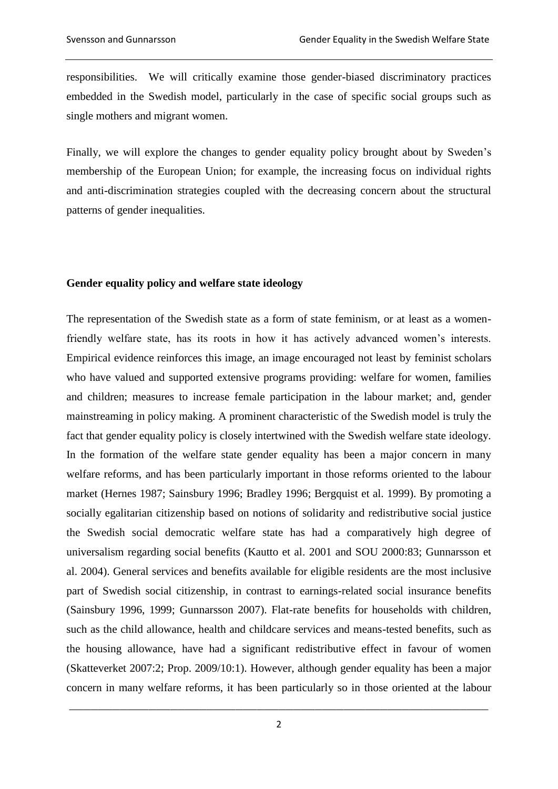responsibilities. We will critically examine those gender-biased discriminatory practices embedded in the Swedish model, particularly in the case of specific social groups such as single mothers and migrant women.

Finally, we will explore the changes to gender equality policy brought about by Sweden's membership of the European Union; for example, the increasing focus on individual rights and anti-discrimination strategies coupled with the decreasing concern about the structural patterns of gender inequalities.

#### **Gender equality policy and welfare state ideology**

The representation of the Swedish state as a form of state feminism, or at least as a womenfriendly welfare state, has its roots in how it has actively advanced women's interests. Empirical evidence reinforces this image, an image encouraged not least by feminist scholars who have valued and supported extensive programs providing: welfare for women, families and children; measures to increase female participation in the labour market; and, gender mainstreaming in policy making. A prominent characteristic of the Swedish model is truly the fact that gender equality policy is closely intertwined with the Swedish welfare state ideology. In the formation of the welfare state gender equality has been a major concern in many welfare reforms, and has been particularly important in those reforms oriented to the labour market (Hernes 1987; Sainsbury 1996; Bradley 1996; Bergquist et al. 1999). By promoting a socially egalitarian citizenship based on notions of solidarity and redistributive social justice the Swedish social democratic welfare state has had a comparatively high degree of universalism regarding social benefits (Kautto et al. 2001 and SOU 2000:83; Gunnarsson et al. 2004). General services and benefits available for eligible residents are the most inclusive part of Swedish social citizenship, in contrast to earnings-related social insurance benefits (Sainsbury 1996, 1999; Gunnarsson 2007). Flat-rate benefits for households with children, such as the child allowance, health and childcare services and means-tested benefits, such as the housing allowance, have had a significant redistributive effect in favour of women (Skatteverket 2007:2; Prop. 2009/10:1). However, although gender equality has been a major concern in many welfare reforms, it has been particularly so in those oriented at the labour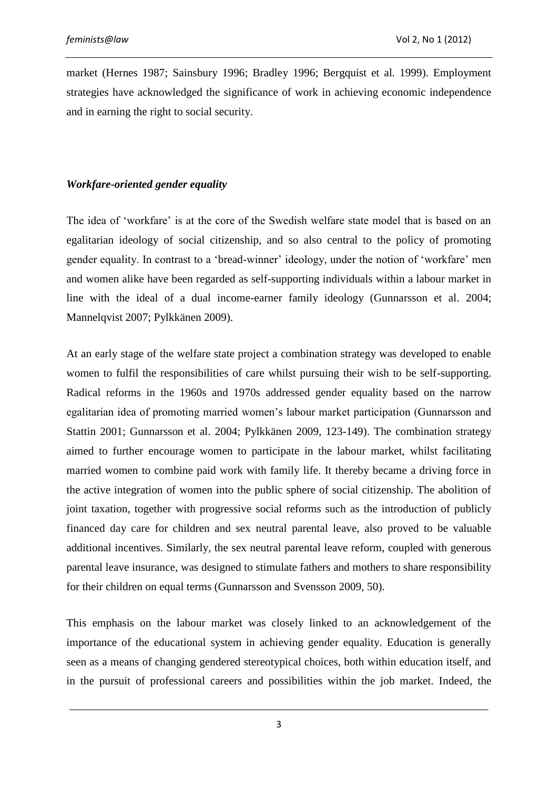market (Hernes 1987; Sainsbury 1996; Bradley 1996; Bergquist et al. 1999). Employment strategies have acknowledged the significance of work in achieving economic independence and in earning the right to social security.

# *Workfare-oriented gender equality*

The idea of 'workfare' is at the core of the Swedish welfare state model that is based on an egalitarian ideology of social citizenship, and so also central to the policy of promoting gender equality. In contrast to a 'bread-winner' ideology, under the notion of 'workfare' men and women alike have been regarded as self-supporting individuals within a labour market in line with the ideal of a dual income-earner family ideology (Gunnarsson et al. 2004; Mannelqvist 2007; Pylkkänen 2009).

At an early stage of the welfare state project a combination strategy was developed to enable women to fulfil the responsibilities of care whilst pursuing their wish to be self-supporting. Radical reforms in the 1960s and 1970s addressed gender equality based on the narrow egalitarian idea of promoting married women's labour market participation (Gunnarsson and Stattin 2001; Gunnarsson et al. 2004; Pylkkänen 2009, 123-149). The combination strategy aimed to further encourage women to participate in the labour market, whilst facilitating married women to combine paid work with family life. It thereby became a driving force in the active integration of women into the public sphere of social citizenship. The abolition of joint taxation, together with progressive social reforms such as the introduction of publicly financed day care for children and sex neutral parental leave, also proved to be valuable additional incentives. Similarly, the sex neutral parental leave reform, coupled with generous parental leave insurance, was designed to stimulate fathers and mothers to share responsibility for their children on equal terms (Gunnarsson and Svensson 2009, 50).

This emphasis on the labour market was closely linked to an acknowledgement of the importance of the educational system in achieving gender equality. Education is generally seen as a means of changing gendered stereotypical choices, both within education itself, and in the pursuit of professional careers and possibilities within the job market. Indeed, the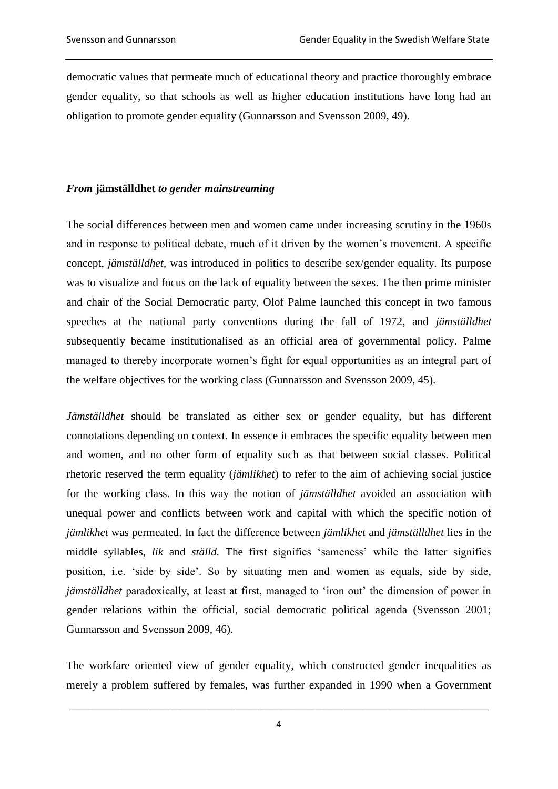democratic values that permeate much of educational theory and practice thoroughly embrace gender equality, so that schools as well as higher education institutions have long had an obligation to promote gender equality (Gunnarsson and Svensson 2009, 49).

## *From* **jämställdhet** *to gender mainstreaming*

The social differences between men and women came under increasing scrutiny in the 1960s and in response to political debate, much of it driven by the women's movement. A specific concept, *jämställdhet,* was introduced in politics to describe sex/gender equality. Its purpose was to visualize and focus on the lack of equality between the sexes. The then prime minister and chair of the Social Democratic party, Olof Palme launched this concept in two famous speeches at the national party conventions during the fall of 1972, and *jämställdhet* subsequently became institutionalised as an official area of governmental policy. Palme managed to thereby incorporate women's fight for equal opportunities as an integral part of the welfare objectives for the working class (Gunnarsson and Svensson 2009, 45).

*Jämställdhet* should be translated as either sex or gender equality, but has different connotations depending on context. In essence it embraces the specific equality between men and women, and no other form of equality such as that between social classes. Political rhetoric reserved the term equality (*jämlikhet*) to refer to the aim of achieving social justice for the working class. In this way the notion of *jämställdhet* avoided an association with unequal power and conflicts between work and capital with which the specific notion of *jämlikhet* was permeated. In fact the difference between *jämlikhet* and *jämställdhet* lies in the middle syllables, *lik* and *ställd.* The first signifies 'sameness' while the latter signifies position, i.e. 'side by side'. So by situating men and women as equals, side by side, *jämställdhet* paradoxically, at least at first, managed to 'iron out' the dimension of power in gender relations within the official, social democratic political agenda (Svensson 2001; Gunnarsson and Svensson 2009, 46).

The workfare oriented view of gender equality, which constructed gender inequalities as merely a problem suffered by females, was further expanded in 1990 when a Government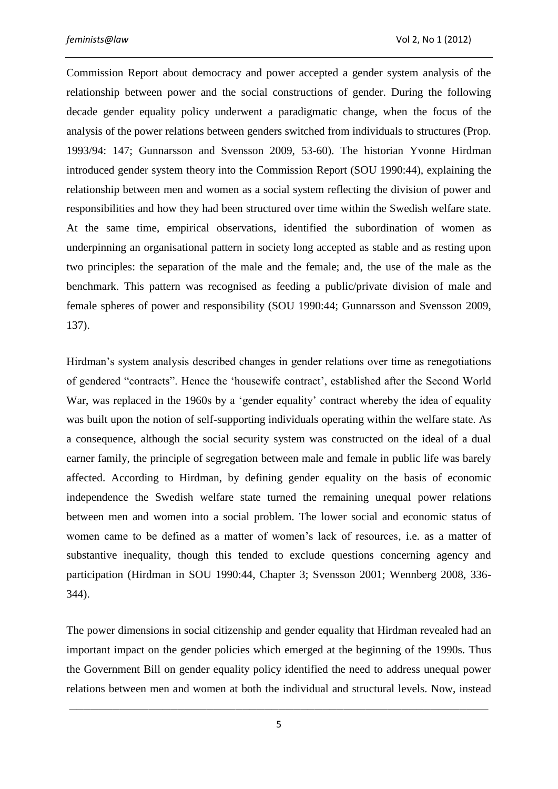Commission Report about democracy and power accepted a gender system analysis of the relationship between power and the social constructions of gender. During the following decade gender equality policy underwent a paradigmatic change, when the focus of the analysis of the power relations between genders switched from individuals to structures (Prop. 1993/94: 147; Gunnarsson and Svensson 2009, 53-60). The historian Yvonne Hirdman introduced gender system theory into the Commission Report (SOU 1990:44), explaining the relationship between men and women as a social system reflecting the division of power and responsibilities and how they had been structured over time within the Swedish welfare state. At the same time, empirical observations, identified the subordination of women as underpinning an organisational pattern in society long accepted as stable and as resting upon two principles: the separation of the male and the female; and, the use of the male as the benchmark. This pattern was recognised as feeding a public/private division of male and female spheres of power and responsibility (SOU 1990:44; Gunnarsson and Svensson 2009, 137).

Hirdman's system analysis described changes in gender relations over time as renegotiations of gendered "contracts". Hence the 'housewife contract', established after the Second World War, was replaced in the 1960s by a 'gender equality' contract whereby the idea of equality was built upon the notion of self-supporting individuals operating within the welfare state. As a consequence, although the social security system was constructed on the ideal of a dual earner family, the principle of segregation between male and female in public life was barely affected. According to Hirdman, by defining gender equality on the basis of economic independence the Swedish welfare state turned the remaining unequal power relations between men and women into a social problem. The lower social and economic status of women came to be defined as a matter of women's lack of resources, i.e. as a matter of substantive inequality, though this tended to exclude questions concerning agency and participation (Hirdman in SOU 1990:44, Chapter 3; Svensson 2001; Wennberg 2008, 336- 344).

The power dimensions in social citizenship and gender equality that Hirdman revealed had an important impact on the gender policies which emerged at the beginning of the 1990s. Thus the Government Bill on gender equality policy identified the need to address unequal power relations between men and women at both the individual and structural levels. Now, instead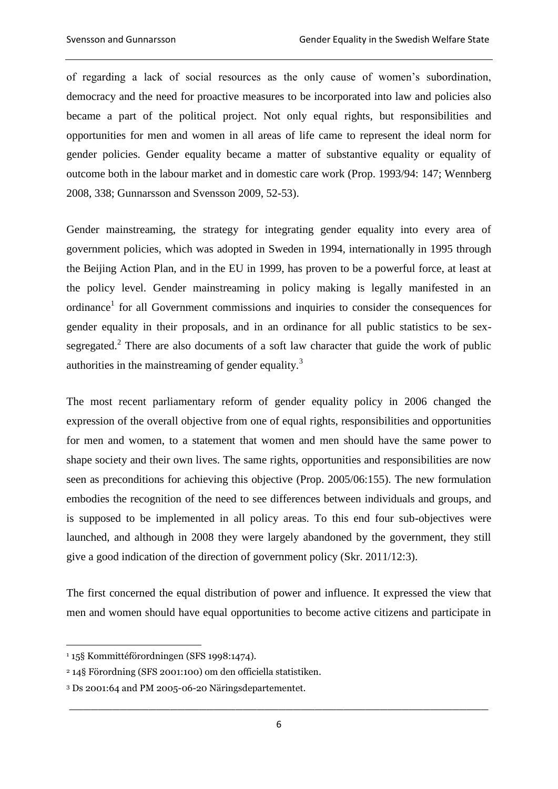of regarding a lack of social resources as the only cause of women's subordination, democracy and the need for proactive measures to be incorporated into law and policies also became a part of the political project. Not only equal rights, but responsibilities and opportunities for men and women in all areas of life came to represent the ideal norm for gender policies. Gender equality became a matter of substantive equality or equality of outcome both in the labour market and in domestic care work (Prop. 1993/94: 147; Wennberg 2008, 338; Gunnarsson and Svensson 2009, 52-53).

Gender mainstreaming, the strategy for integrating gender equality into every area of government policies, which was adopted in Sweden in 1994, internationally in 1995 through the Beijing Action Plan, and in the EU in 1999, has proven to be a powerful force, at least at the policy level. Gender mainstreaming in policy making is legally manifested in an ordinance<sup>1</sup> for all Government commissions and inquiries to consider the consequences for gender equality in their proposals, and in an ordinance for all public statistics to be sexsegregated.<sup>2</sup> There are also documents of a soft law character that guide the work of public authorities in the mainstreaming of gender equality.<sup>3</sup>

The most recent parliamentary reform of gender equality policy in 2006 changed the expression of the overall objective from one of equal rights, responsibilities and opportunities for men and women, to a statement that women and men should have the same power to shape society and their own lives. The same rights, opportunities and responsibilities are now seen as preconditions for achieving this objective (Prop. 2005/06:155). The new formulation embodies the recognition of the need to see differences between individuals and groups, and is supposed to be implemented in all policy areas. To this end four sub-objectives were launched, and although in 2008 they were largely abandoned by the government, they still give a good indication of the direction of government policy (Skr. 2011/12:3).

The first concerned the equal distribution of power and influence. It expressed the view that men and women should have equal opportunities to become active citizens and participate in

 $\overline{a}$ <sup>1</sup> 15§ Kommittéförordningen (SFS 1998:1474).

<sup>2</sup> 14§ Förordning (SFS 2001:100) om den officiella statistiken.

<sup>3</sup> Ds 2001:64 and PM 2005-06-20 Näringsdepartementet.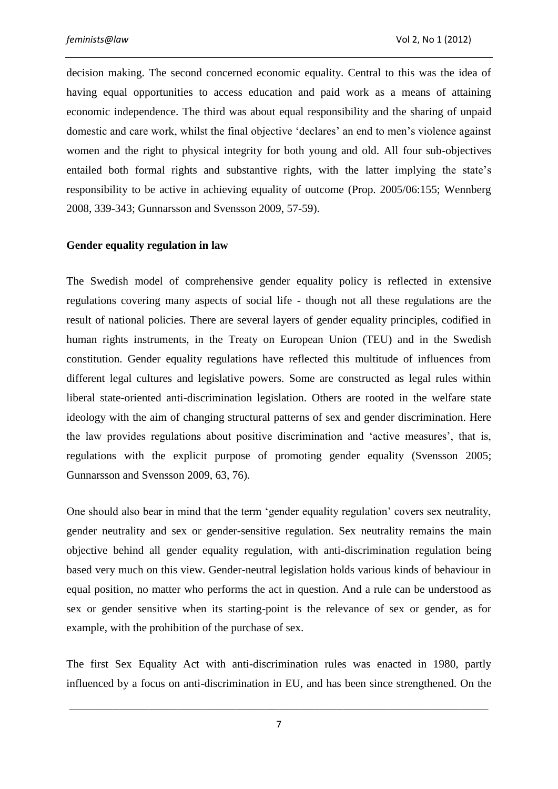decision making. The second concerned economic equality. Central to this was the idea of having equal opportunities to access education and paid work as a means of attaining economic independence. The third was about equal responsibility and the sharing of unpaid domestic and care work, whilst the final objective 'declares' an end to men's violence against women and the right to physical integrity for both young and old. All four sub-objectives entailed both formal rights and substantive rights, with the latter implying the state's responsibility to be active in achieving equality of outcome (Prop. 2005/06:155; Wennberg 2008, 339-343; Gunnarsson and Svensson 2009, 57-59).

### **Gender equality regulation in law**

The Swedish model of comprehensive gender equality policy is reflected in extensive regulations covering many aspects of social life - though not all these regulations are the result of national policies. There are several layers of gender equality principles, codified in human rights instruments, in the Treaty on European Union (TEU) and in the Swedish constitution. Gender equality regulations have reflected this multitude of influences from different legal cultures and legislative powers. Some are constructed as legal rules within liberal state-oriented anti-discrimination legislation. Others are rooted in the welfare state ideology with the aim of changing structural patterns of sex and gender discrimination. Here the law provides regulations about positive discrimination and 'active measures', that is, regulations with the explicit purpose of promoting gender equality (Svensson 2005; Gunnarsson and Svensson 2009, 63, 76).

One should also bear in mind that the term 'gender equality regulation' covers sex neutrality, gender neutrality and sex or gender-sensitive regulation. Sex neutrality remains the main objective behind all gender equality regulation, with anti-discrimination regulation being based very much on this view. Gender-neutral legislation holds various kinds of behaviour in equal position, no matter who performs the act in question. And a rule can be understood as sex or gender sensitive when its starting-point is the relevance of sex or gender, as for example, with the prohibition of the purchase of sex.

The first Sex Equality Act with anti-discrimination rules was enacted in 1980, partly influenced by a focus on anti-discrimination in EU, and has been since strengthened. On the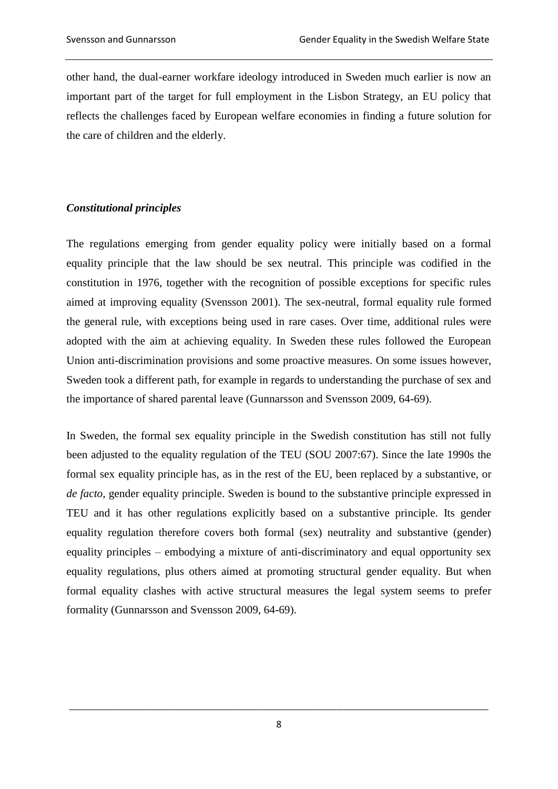other hand, the dual-earner workfare ideology introduced in Sweden much earlier is now an important part of the target for full employment in the Lisbon Strategy, an EU policy that reflects the challenges faced by European welfare economies in finding a future solution for the care of children and the elderly.

# *Constitutional principles*

The regulations emerging from gender equality policy were initially based on a formal equality principle that the law should be sex neutral. This principle was codified in the constitution in 1976, together with the recognition of possible exceptions for specific rules aimed at improving equality (Svensson 2001). The sex-neutral, formal equality rule formed the general rule, with exceptions being used in rare cases. Over time, additional rules were adopted with the aim at achieving equality. In Sweden these rules followed the European Union anti-discrimination provisions and some proactive measures. On some issues however, Sweden took a different path, for example in regards to understanding the purchase of sex and the importance of shared parental leave (Gunnarsson and Svensson 2009, 64-69).

In Sweden, the formal sex equality principle in the Swedish constitution has still not fully been adjusted to the equality regulation of the TEU (SOU 2007:67). Since the late 1990s the formal sex equality principle has, as in the rest of the EU, been replaced by a substantive, or *de facto*, gender equality principle. Sweden is bound to the substantive principle expressed in TEU and it has other regulations explicitly based on a substantive principle. Its gender equality regulation therefore covers both formal (sex) neutrality and substantive (gender) equality principles – embodying a mixture of anti-discriminatory and equal opportunity sex equality regulations, plus others aimed at promoting structural gender equality. But when formal equality clashes with active structural measures the legal system seems to prefer formality (Gunnarsson and Svensson 2009, 64-69).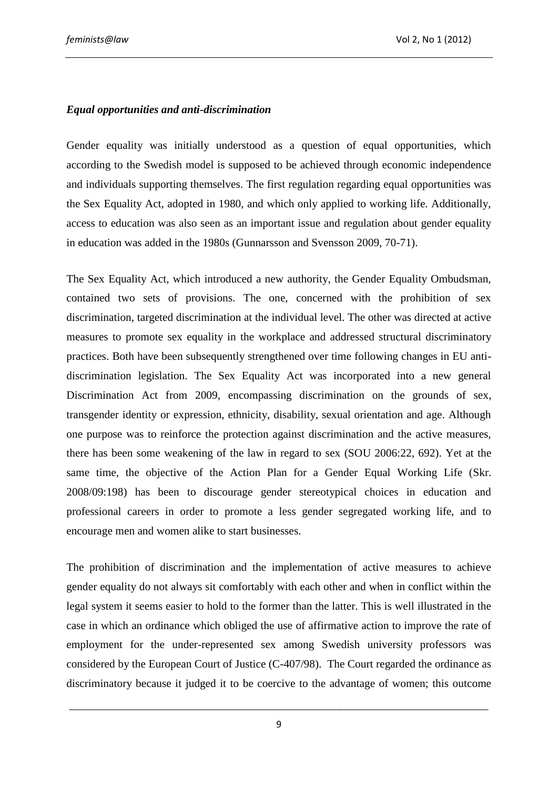# *Equal opportunities and anti-discrimination*

Gender equality was initially understood as a question of equal opportunities, which according to the Swedish model is supposed to be achieved through economic independence and individuals supporting themselves. The first regulation regarding equal opportunities was the Sex Equality Act, adopted in 1980, and which only applied to working life. Additionally, access to education was also seen as an important issue and regulation about gender equality in education was added in the 1980s (Gunnarsson and Svensson 2009, 70-71).

The Sex Equality Act, which introduced a new authority, the Gender Equality Ombudsman, contained two sets of provisions. The one, concerned with the prohibition of sex discrimination, targeted discrimination at the individual level. The other was directed at active measures to promote sex equality in the workplace and addressed structural discriminatory practices. Both have been subsequently strengthened over time following changes in EU antidiscrimination legislation. The Sex Equality Act was incorporated into a new general Discrimination Act from 2009, encompassing discrimination on the grounds of sex, transgender identity or expression, ethnicity, disability, sexual orientation and age. Although one purpose was to reinforce the protection against discrimination and the active measures, there has been some weakening of the law in regard to sex (SOU 2006:22, 692). Yet at the same time, the objective of the Action Plan for a Gender Equal Working Life (Skr. 2008/09:198) has been to discourage gender stereotypical choices in education and professional careers in order to promote a less gender segregated working life, and to encourage men and women alike to start businesses.

The prohibition of discrimination and the implementation of active measures to achieve gender equality do not always sit comfortably with each other and when in conflict within the legal system it seems easier to hold to the former than the latter. This is well illustrated in the case in which an ordinance which obliged the use of affirmative action to improve the rate of employment for the under-represented sex among Swedish university professors was considered by the European Court of Justice (C-407/98). The Court regarded the ordinance as discriminatory because it judged it to be coercive to the advantage of women; this outcome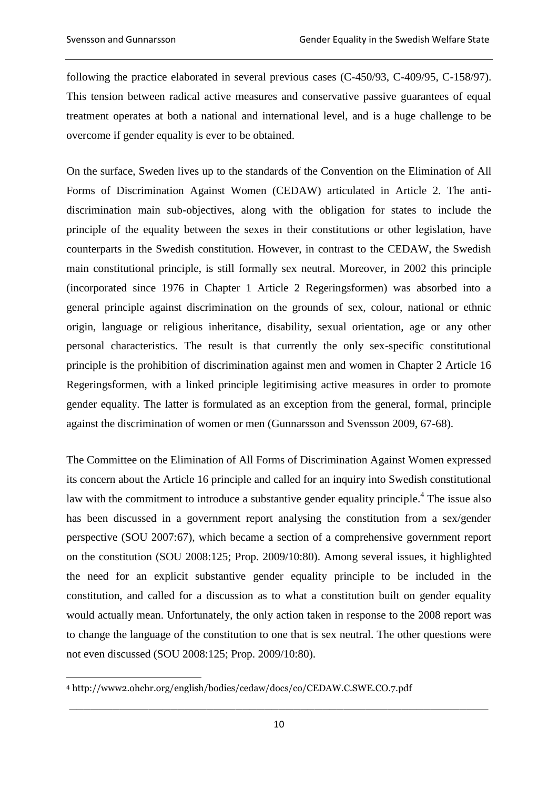following the practice elaborated in several previous cases (C-450/93, C-409/95, C-158/97). This tension between radical active measures and conservative passive guarantees of equal treatment operates at both a national and international level, and is a huge challenge to be overcome if gender equality is ever to be obtained.

On the surface, Sweden lives up to the standards of the Convention on the Elimination of All Forms of Discrimination Against Women (CEDAW) articulated in Article 2. The antidiscrimination main sub-objectives, along with the obligation for states to include the principle of the equality between the sexes in their constitutions or other legislation, have counterparts in the Swedish constitution. However, in contrast to the CEDAW, the Swedish main constitutional principle, is still formally sex neutral. Moreover, in 2002 this principle (incorporated since 1976 in Chapter 1 Article 2 Regeringsformen) was absorbed into a general principle against discrimination on the grounds of sex, colour, national or ethnic origin, language or religious inheritance, disability, sexual orientation, age or any other personal characteristics. The result is that currently the only sex-specific constitutional principle is the prohibition of discrimination against men and women in Chapter 2 Article 16 Regeringsformen, with a linked principle legitimising active measures in order to promote gender equality. The latter is formulated as an exception from the general, formal, principle against the discrimination of women or men (Gunnarsson and Svensson 2009, 67-68).

The Committee on the Elimination of All Forms of Discrimination Against Women expressed its concern about the Article 16 principle and called for an inquiry into Swedish constitutional law with the commitment to introduce a substantive gender equality principle.<sup>4</sup> The issue also has been discussed in a government report analysing the constitution from a sex/gender perspective (SOU 2007:67), which became a section of a comprehensive government report on the constitution (SOU 2008:125; Prop. 2009/10:80). Among several issues, it highlighted the need for an explicit substantive gender equality principle to be included in the constitution, and called for a discussion as to what a constitution built on gender equality would actually mean. Unfortunately, the only action taken in response to the 2008 report was to change the language of the constitution to one that is sex neutral. The other questions were not even discussed (SOU 2008:125; Prop. 2009/10:80).

 $\overline{a}$ <sup>4</sup> http://www2.ohchr.org/english/bodies/cedaw/docs/co/CEDAW.C.SWE.CO.7.pdf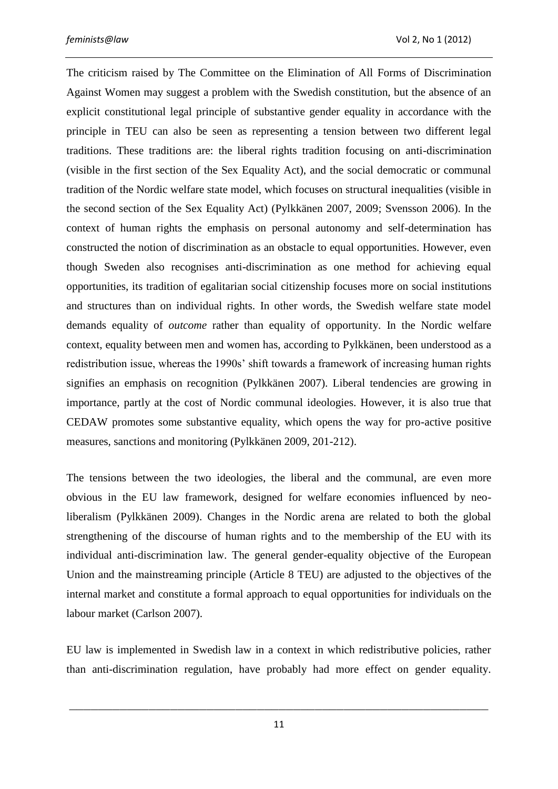The criticism raised by The Committee on the Elimination of All Forms of Discrimination Against Women may suggest a problem with the Swedish constitution, but the absence of an explicit constitutional legal principle of substantive gender equality in accordance with the principle in TEU can also be seen as representing a tension between two different legal traditions. These traditions are: the liberal rights tradition focusing on anti-discrimination (visible in the first section of the Sex Equality Act), and the social democratic or communal tradition of the Nordic welfare state model, which focuses on structural inequalities (visible in the second section of the Sex Equality Act) (Pylkkänen 2007, 2009; Svensson 2006). In the context of human rights the emphasis on personal autonomy and self-determination has constructed the notion of discrimination as an obstacle to equal opportunities. However, even though Sweden also recognises anti-discrimination as one method for achieving equal opportunities, its tradition of egalitarian social citizenship focuses more on social institutions and structures than on individual rights. In other words, the Swedish welfare state model demands equality of *outcome* rather than equality of opportunity. In the Nordic welfare context, equality between men and women has, according to Pylkkänen, been understood as a redistribution issue, whereas the 1990s' shift towards a framework of increasing human rights signifies an emphasis on recognition (Pylkkänen 2007). Liberal tendencies are growing in importance, partly at the cost of Nordic communal ideologies. However, it is also true that CEDAW promotes some substantive equality, which opens the way for pro-active positive measures, sanctions and monitoring (Pylkkänen 2009, 201-212).

The tensions between the two ideologies, the liberal and the communal, are even more obvious in the EU law framework, designed for welfare economies influenced by neoliberalism (Pylkkänen 2009). Changes in the Nordic arena are related to both the global strengthening of the discourse of human rights and to the membership of the EU with its individual anti-discrimination law. The general gender-equality objective of the European Union and the mainstreaming principle (Article 8 TEU) are adjusted to the objectives of the internal market and constitute a formal approach to equal opportunities for individuals on the labour market (Carlson 2007).

EU law is implemented in Swedish law in a context in which redistributive policies, rather than anti-discrimination regulation, have probably had more effect on gender equality.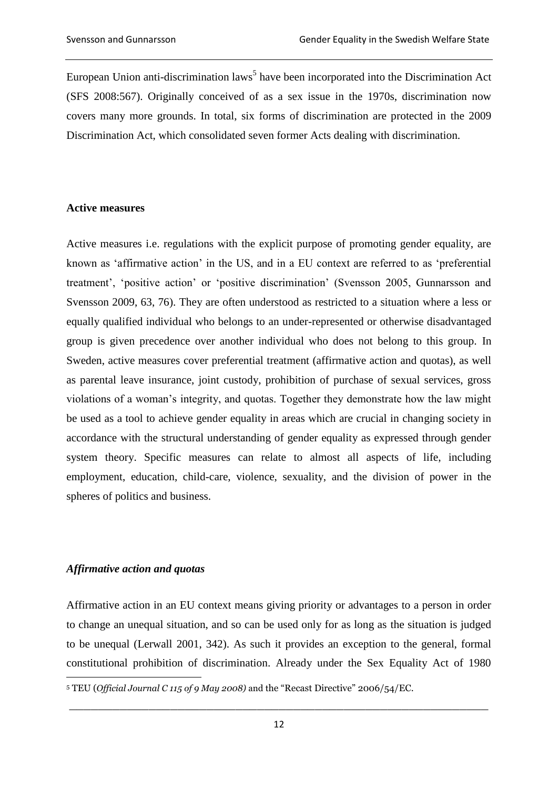European Union anti-discrimination laws<sup>5</sup> have been incorporated into the Discrimination Act (SFS 2008:567). Originally conceived of as a sex issue in the 1970s, discrimination now covers many more grounds. In total, six forms of discrimination are protected in the 2009 Discrimination Act, which consolidated seven former Acts dealing with discrimination.

#### **Active measures**

Active measures i.e. regulations with the explicit purpose of promoting gender equality, are known as 'affirmative action' in the US, and in a EU context are referred to as 'preferential treatment', 'positive action' or 'positive discrimination' (Svensson 2005, Gunnarsson and Svensson 2009, 63, 76). They are often understood as restricted to a situation where a less or equally qualified individual who belongs to an under-represented or otherwise disadvantaged group is given precedence over another individual who does not belong to this group. In Sweden, active measures cover preferential treatment (affirmative action and quotas), as well as parental leave insurance, joint custody, prohibition of purchase of sexual services, gross violations of a woman's integrity, and quotas. Together they demonstrate how the law might be used as a tool to achieve gender equality in areas which are crucial in changing society in accordance with the structural understanding of gender equality as expressed through gender system theory. Specific measures can relate to almost all aspects of life, including employment, education, child-care, violence, sexuality, and the division of power in the spheres of politics and business.

# *Affirmative action and quotas*

 $\overline{a}$ 

Affirmative action in an EU context means giving priority or advantages to a person in order to change an unequal situation, and so can be used only for as long as the situation is judged to be unequal (Lerwall 2001, 342). As such it provides an exception to the general, formal constitutional prohibition of discrimination. Already under the Sex Equality Act of 1980

<sup>5</sup> TEU (*Official Journal C 115 of 9 May 2008)* and the "Recast Directive" 2006/54/EC.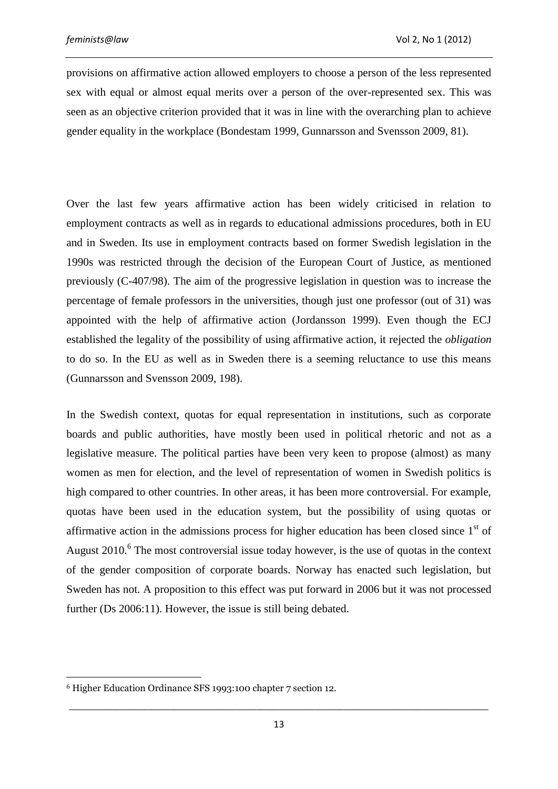provisions on affirmative action allowed employers to choose a person of the less represented sex with equal or almost equal merits over a person of the over-represented sex. This was seen as an objective criterion provided that it was in line with the overarching plan to achieve gender equality in the workplace (Bondestam 1999, Gunnarsson and Svensson 2009, 81).

Over the last few years affirmative action has been widely criticised in relation to employment contracts as well as in regards to educational admissions procedures, both in EU and in Sweden. Its use in employment contracts based on former Swedish legislation in the 1990s was restricted through the decision of the European Court of Justice, as mentioned previously (C-407/98). The aim of the progressive legislation in question was to increase the percentage of female professors in the universities, though just one professor (out of 31) was appointed with the help of affirmative action (Jordansson 1999). Even though the ECJ established the legality of the possibility of using affirmative action, it rejected the *obligation* to do so. In the EU as well as in Sweden there is a seeming reluctance to use this means (Gunnarsson and Svensson 2009, 198).

In the Swedish context, quotas for equal representation in institutions, such as corporate boards and public authorities, have mostly been used in political rhetoric and not as a legislative measure. The political parties have been very keen to propose (almost) as many women as men for election, and the level of representation of women in Swedish politics is high compared to other countries. In other areas, it has been more controversial. For example, quotas have been used in the education system, but the possibility of using quotas or affirmative action in the admissions process for higher education has been closed since  $1<sup>st</sup>$  of August  $2010$ .<sup>6</sup> The most controversial issue today however, is the use of quotas in the context of the gender composition of corporate boards. Norway has enacted such legislation, but Sweden has not. A proposition to this effect was put forward in 2006 but it was not processed further (Ds 2006:11). However, the issue is still being debated.

 $\overline{a}$ 

<sup>6</sup> Higher Education Ordinance SFS 1993:100 chapter 7 section 12.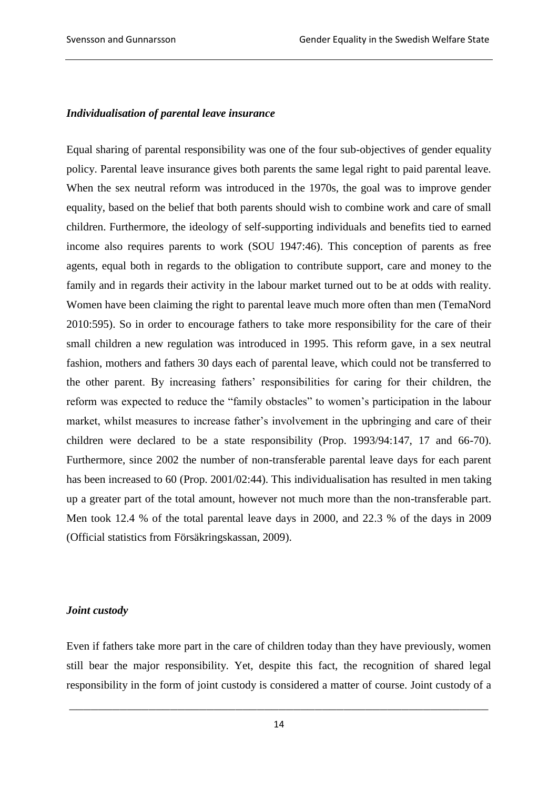#### *Individualisation of parental leave insurance*

Equal sharing of parental responsibility was one of the four sub-objectives of gender equality policy. Parental leave insurance gives both parents the same legal right to paid parental leave. When the sex neutral reform was introduced in the 1970s, the goal was to improve gender equality, based on the belief that both parents should wish to combine work and care of small children. Furthermore, the ideology of self-supporting individuals and benefits tied to earned income also requires parents to work (SOU 1947:46). This conception of parents as free agents, equal both in regards to the obligation to contribute support, care and money to the family and in regards their activity in the labour market turned out to be at odds with reality. Women have been claiming the right to parental leave much more often than men (TemaNord 2010:595). So in order to encourage fathers to take more responsibility for the care of their small children a new regulation was introduced in 1995. This reform gave, in a sex neutral fashion, mothers and fathers 30 days each of parental leave, which could not be transferred to the other parent. By increasing fathers' responsibilities for caring for their children, the reform was expected to reduce the "family obstacles" to women's participation in the labour market, whilst measures to increase father's involvement in the upbringing and care of their children were declared to be a state responsibility (Prop. 1993/94:147, 17 and 66-70). Furthermore, since 2002 the number of non-transferable parental leave days for each parent has been increased to 60 (Prop. 2001/02:44). This individualisation has resulted in men taking up a greater part of the total amount, however not much more than the non-transferable part. Men took 12.4 % of the total parental leave days in 2000, and 22.3 % of the days in 2009 (Official statistics from Försäkringskassan, 2009).

### *Joint custody*

Even if fathers take more part in the care of children today than they have previously, women still bear the major responsibility. Yet, despite this fact, the recognition of shared legal responsibility in the form of joint custody is considered a matter of course. Joint custody of a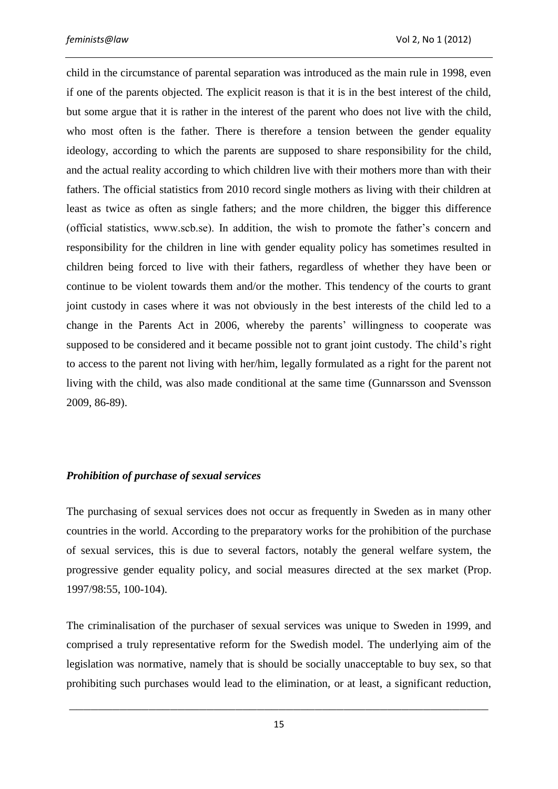child in the circumstance of parental separation was introduced as the main rule in 1998, even if one of the parents objected. The explicit reason is that it is in the best interest of the child, but some argue that it is rather in the interest of the parent who does not live with the child, who most often is the father. There is therefore a tension between the gender equality ideology, according to which the parents are supposed to share responsibility for the child, and the actual reality according to which children live with their mothers more than with their fathers. The official statistics from 2010 record single mothers as living with their children at least as twice as often as single fathers; and the more children, the bigger this difference (official statistics, www.scb.se). In addition, the wish to promote the father's concern and responsibility for the children in line with gender equality policy has sometimes resulted in children being forced to live with their fathers, regardless of whether they have been or continue to be violent towards them and/or the mother. This tendency of the courts to grant joint custody in cases where it was not obviously in the best interests of the child led to a change in the Parents Act in 2006, whereby the parents' willingness to cooperate was supposed to be considered and it became possible not to grant joint custody. The child's right to access to the parent not living with her/him, legally formulated as a right for the parent not living with the child, was also made conditional at the same time (Gunnarsson and Svensson 2009, 86-89).

### *Prohibition of purchase of sexual services*

The purchasing of sexual services does not occur as frequently in Sweden as in many other countries in the world. According to the preparatory works for the prohibition of the purchase of sexual services, this is due to several factors, notably the general welfare system, the progressive gender equality policy, and social measures directed at the sex market (Prop. 1997/98:55, 100-104).

The criminalisation of the purchaser of sexual services was unique to Sweden in 1999, and comprised a truly representative reform for the Swedish model. The underlying aim of the legislation was normative, namely that is should be socially unacceptable to buy sex, so that prohibiting such purchases would lead to the elimination, or at least, a significant reduction,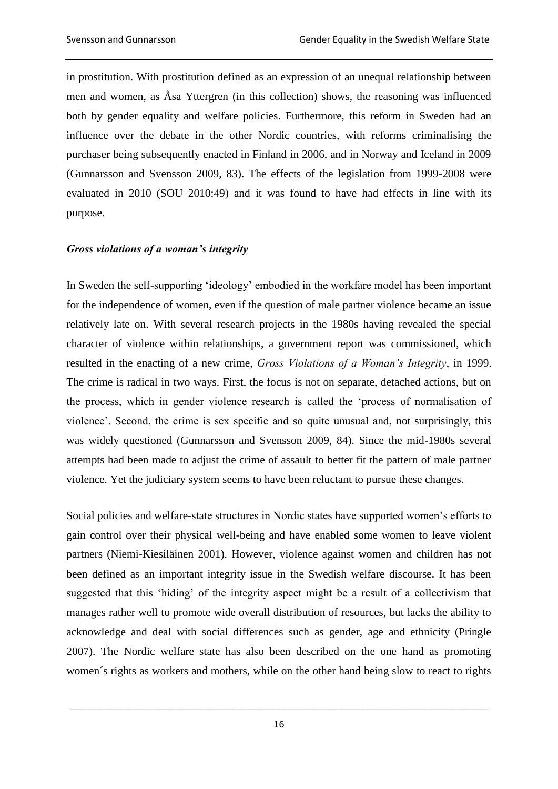in prostitution. With prostitution defined as an expression of an unequal relationship between men and women, as Åsa Yttergren (in this collection) shows, the reasoning was influenced both by gender equality and welfare policies. Furthermore, this reform in Sweden had an influence over the debate in the other Nordic countries, with reforms criminalising the purchaser being subsequently enacted in Finland in 2006, and in Norway and Iceland in 2009 (Gunnarsson and Svensson 2009, 83). The effects of the legislation from 1999-2008 were evaluated in 2010 (SOU 2010:49) and it was found to have had effects in line with its purpose.

# *Gross violations of a woman's integrity*

In Sweden the self-supporting 'ideology' embodied in the workfare model has been important for the independence of women, even if the question of male partner violence became an issue relatively late on. With several research projects in the 1980s having revealed the special character of violence within relationships, a government report was commissioned, which resulted in the enacting of a new crime, *Gross Violations of a Woman's Integrity*, in 1999. The crime is radical in two ways. First, the focus is not on separate, detached actions, but on the process, which in gender violence research is called the 'process of normalisation of violence'. Second, the crime is sex specific and so quite unusual and, not surprisingly, this was widely questioned (Gunnarsson and Svensson 2009, 84). Since the mid-1980s several attempts had been made to adjust the crime of assault to better fit the pattern of male partner violence. Yet the judiciary system seems to have been reluctant to pursue these changes.

Social policies and welfare-state structures in Nordic states have supported women's efforts to gain control over their physical well-being and have enabled some women to leave violent partners (Niemi-Kiesiläinen 2001). However, violence against women and children has not been defined as an important integrity issue in the Swedish welfare discourse. It has been suggested that this 'hiding' of the integrity aspect might be a result of a collectivism that manages rather well to promote wide overall distribution of resources, but lacks the ability to acknowledge and deal with social differences such as gender, age and ethnicity (Pringle 2007). The Nordic welfare state has also been described on the one hand as promoting women´s rights as workers and mothers, while on the other hand being slow to react to rights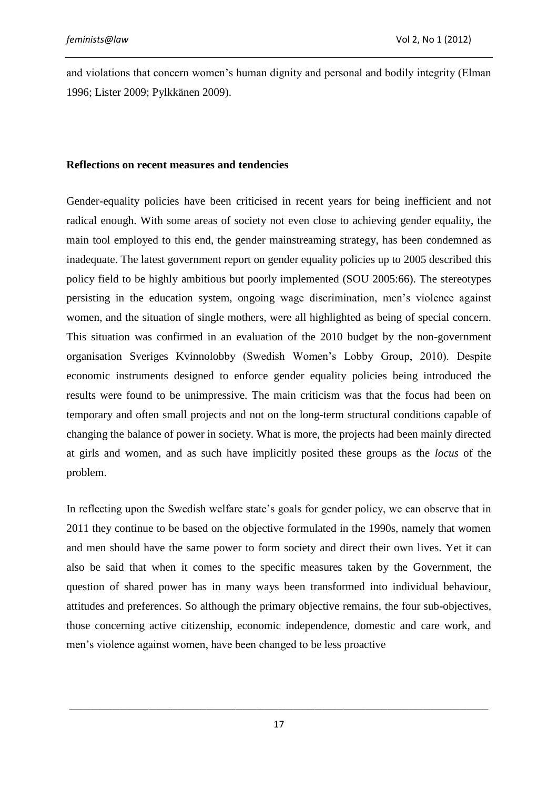and violations that concern women's human dignity and personal and bodily integrity (Elman 1996; Lister 2009; Pylkkänen 2009).

## **Reflections on recent measures and tendencies**

Gender-equality policies have been criticised in recent years for being inefficient and not radical enough. With some areas of society not even close to achieving gender equality, the main tool employed to this end, the gender mainstreaming strategy, has been condemned as inadequate. The latest government report on gender equality policies up to 2005 described this policy field to be highly ambitious but poorly implemented (SOU 2005:66). The stereotypes persisting in the education system, ongoing wage discrimination, men's violence against women, and the situation of single mothers, were all highlighted as being of special concern. This situation was confirmed in an evaluation of the 2010 budget by the non-government organisation Sveriges Kvinnolobby (Swedish Women's Lobby Group, 2010). Despite economic instruments designed to enforce gender equality policies being introduced the results were found to be unimpressive. The main criticism was that the focus had been on temporary and often small projects and not on the long-term structural conditions capable of changing the balance of power in society. What is more, the projects had been mainly directed at girls and women, and as such have implicitly posited these groups as the *locus* of the problem.

In reflecting upon the Swedish welfare state's goals for gender policy, we can observe that in 2011 they continue to be based on the objective formulated in the 1990s, namely that women and men should have the same power to form society and direct their own lives. Yet it can also be said that when it comes to the specific measures taken by the Government, the question of shared power has in many ways been transformed into individual behaviour, attitudes and preferences. So although the primary objective remains, the four sub-objectives, those concerning active citizenship, economic independence, domestic and care work, and men's violence against women, have been changed to be less proactive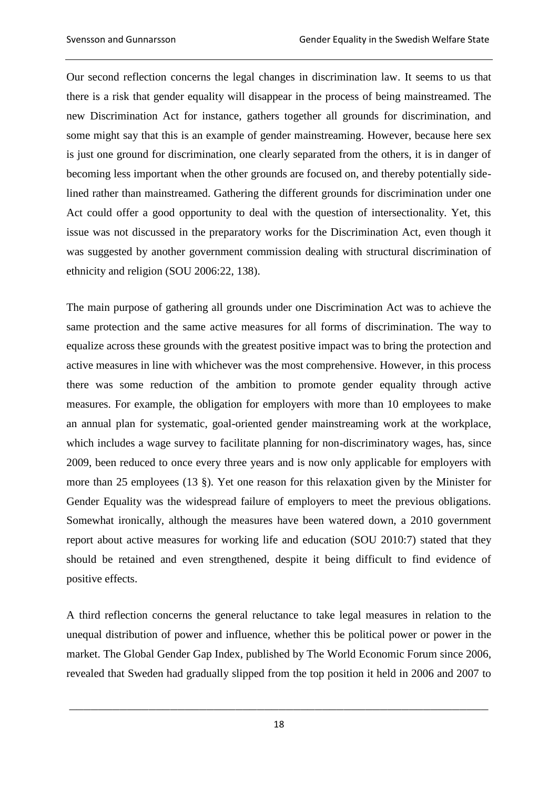Our second reflection concerns the legal changes in discrimination law. It seems to us that there is a risk that gender equality will disappear in the process of being mainstreamed. The new Discrimination Act for instance, gathers together all grounds for discrimination, and some might say that this is an example of gender mainstreaming. However, because here sex is just one ground for discrimination, one clearly separated from the others, it is in danger of becoming less important when the other grounds are focused on, and thereby potentially sidelined rather than mainstreamed. Gathering the different grounds for discrimination under one Act could offer a good opportunity to deal with the question of intersectionality. Yet, this issue was not discussed in the preparatory works for the Discrimination Act, even though it was suggested by another government commission dealing with structural discrimination of ethnicity and religion (SOU 2006:22, 138).

The main purpose of gathering all grounds under one Discrimination Act was to achieve the same protection and the same active measures for all forms of discrimination. The way to equalize across these grounds with the greatest positive impact was to bring the protection and active measures in line with whichever was the most comprehensive. However, in this process there was some reduction of the ambition to promote gender equality through active measures. For example, the obligation for employers with more than 10 employees to make an annual plan for systematic, goal-oriented gender mainstreaming work at the workplace, which includes a wage survey to facilitate planning for non-discriminatory wages, has, since 2009, been reduced to once every three years and is now only applicable for employers with more than 25 employees (13 §). Yet one reason for this relaxation given by the Minister for Gender Equality was the widespread failure of employers to meet the previous obligations. Somewhat ironically, although the measures have been watered down, a 2010 government report about active measures for working life and education (SOU 2010:7) stated that they should be retained and even strengthened, despite it being difficult to find evidence of positive effects.

A third reflection concerns the general reluctance to take legal measures in relation to the unequal distribution of power and influence, whether this be political power or power in the market. The Global Gender Gap Index, published by The World Economic Forum since 2006, revealed that Sweden had gradually slipped from the top position it held in 2006 and 2007 to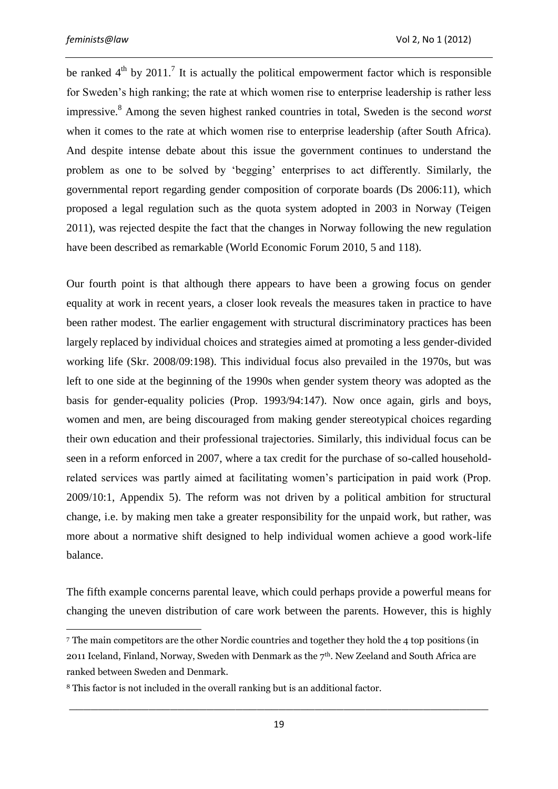$\overline{a}$ 

be ranked  $4<sup>th</sup>$  by 2011.<sup>7</sup> It is actually the political empowerment factor which is responsible for Sweden's high ranking; the rate at which women rise to enterprise leadership is rather less impressive.<sup>8</sup> Among the seven highest ranked countries in total, Sweden is the second *worst* when it comes to the rate at which women rise to enterprise leadership (after South Africa). And despite intense debate about this issue the government continues to understand the problem as one to be solved by 'begging' enterprises to act differently. Similarly, the governmental report regarding gender composition of corporate boards (Ds 2006:11), which proposed a legal regulation such as the quota system adopted in 2003 in Norway (Teigen 2011), was rejected despite the fact that the changes in Norway following the new regulation have been described as remarkable (World Economic Forum 2010, 5 and 118).

Our fourth point is that although there appears to have been a growing focus on gender equality at work in recent years, a closer look reveals the measures taken in practice to have been rather modest. The earlier engagement with structural discriminatory practices has been largely replaced by individual choices and strategies aimed at promoting a less gender-divided working life (Skr. 2008/09:198). This individual focus also prevailed in the 1970s, but was left to one side at the beginning of the 1990s when gender system theory was adopted as the basis for gender-equality policies (Prop. 1993/94:147). Now once again, girls and boys, women and men, are being discouraged from making gender stereotypical choices regarding their own education and their professional trajectories. Similarly, this individual focus can be seen in a reform enforced in 2007, where a tax credit for the purchase of so-called householdrelated services was partly aimed at facilitating women's participation in paid work (Prop. 2009/10:1, Appendix 5). The reform was not driven by a political ambition for structural change, i.e. by making men take a greater responsibility for the unpaid work, but rather, was more about a normative shift designed to help individual women achieve a good work-life balance.

The fifth example concerns parental leave, which could perhaps provide a powerful means for changing the uneven distribution of care work between the parents. However, this is highly

<sup>7</sup> The main competitors are the other Nordic countries and together they hold the 4 top positions (in 2011 Iceland, Finland, Norway, Sweden with Denmark as the 7<sup>th</sup>. New Zeeland and South Africa are ranked between Sweden and Denmark.

<sup>8</sup> This factor is not included in the overall ranking but is an additional factor.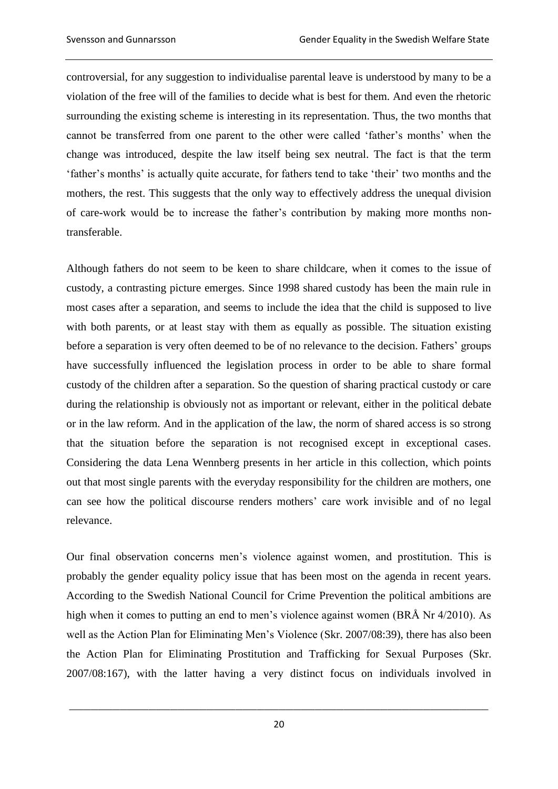controversial, for any suggestion to individualise parental leave is understood by many to be a violation of the free will of the families to decide what is best for them. And even the rhetoric surrounding the existing scheme is interesting in its representation. Thus, the two months that cannot be transferred from one parent to the other were called 'father's months' when the change was introduced, despite the law itself being sex neutral. The fact is that the term 'father's months' is actually quite accurate, for fathers tend to take 'their' two months and the mothers, the rest. This suggests that the only way to effectively address the unequal division of care-work would be to increase the father's contribution by making more months nontransferable.

Although fathers do not seem to be keen to share childcare, when it comes to the issue of custody, a contrasting picture emerges. Since 1998 shared custody has been the main rule in most cases after a separation, and seems to include the idea that the child is supposed to live with both parents, or at least stay with them as equally as possible. The situation existing before a separation is very often deemed to be of no relevance to the decision. Fathers' groups have successfully influenced the legislation process in order to be able to share formal custody of the children after a separation. So the question of sharing practical custody or care during the relationship is obviously not as important or relevant, either in the political debate or in the law reform. And in the application of the law, the norm of shared access is so strong that the situation before the separation is not recognised except in exceptional cases. Considering the data Lena Wennberg presents in her article in this collection, which points out that most single parents with the everyday responsibility for the children are mothers, one can see how the political discourse renders mothers' care work invisible and of no legal relevance.

Our final observation concerns men's violence against women, and prostitution. This is probably the gender equality policy issue that has been most on the agenda in recent years. According to the Swedish National Council for Crime Prevention the political ambitions are high when it comes to putting an end to men's violence against women (BRÅ Nr 4/2010). As well as the Action Plan for Eliminating Men's Violence (Skr. 2007/08:39), there has also been the Action Plan for Eliminating Prostitution and Trafficking for Sexual Purposes (Skr. 2007/08:167), with the latter having a very distinct focus on individuals involved in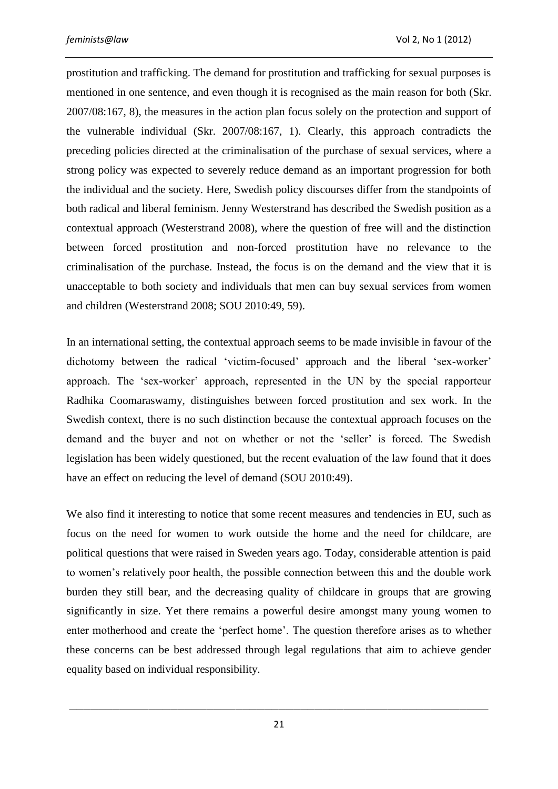prostitution and trafficking. The demand for prostitution and trafficking for sexual purposes is mentioned in one sentence, and even though it is recognised as the main reason for both (Skr. 2007/08:167, 8), the measures in the action plan focus solely on the protection and support of the vulnerable individual (Skr. 2007/08:167, 1). Clearly, this approach contradicts the preceding policies directed at the criminalisation of the purchase of sexual services, where a strong policy was expected to severely reduce demand as an important progression for both the individual and the society. Here, Swedish policy discourses differ from the standpoints of both radical and liberal feminism. Jenny Westerstrand has described the Swedish position as a contextual approach (Westerstrand 2008), where the question of free will and the distinction between forced prostitution and non-forced prostitution have no relevance to the criminalisation of the purchase. Instead, the focus is on the demand and the view that it is unacceptable to both society and individuals that men can buy sexual services from women and children (Westerstrand 2008; SOU 2010:49, 59).

In an international setting, the contextual approach seems to be made invisible in favour of the dichotomy between the radical 'victim-focused' approach and the liberal 'sex-worker' approach. The 'sex-worker' approach, represented in the UN by the special rapporteur Radhika Coomaraswamy, distinguishes between forced prostitution and sex work. In the Swedish context, there is no such distinction because the contextual approach focuses on the demand and the buyer and not on whether or not the 'seller' is forced. The Swedish legislation has been widely questioned, but the recent evaluation of the law found that it does have an effect on reducing the level of demand (SOU 2010:49).

We also find it interesting to notice that some recent measures and tendencies in EU, such as focus on the need for women to work outside the home and the need for childcare, are political questions that were raised in Sweden years ago. Today, considerable attention is paid to women's relatively poor health, the possible connection between this and the double work burden they still bear, and the decreasing quality of childcare in groups that are growing significantly in size. Yet there remains a powerful desire amongst many young women to enter motherhood and create the 'perfect home'. The question therefore arises as to whether these concerns can be best addressed through legal regulations that aim to achieve gender equality based on individual responsibility.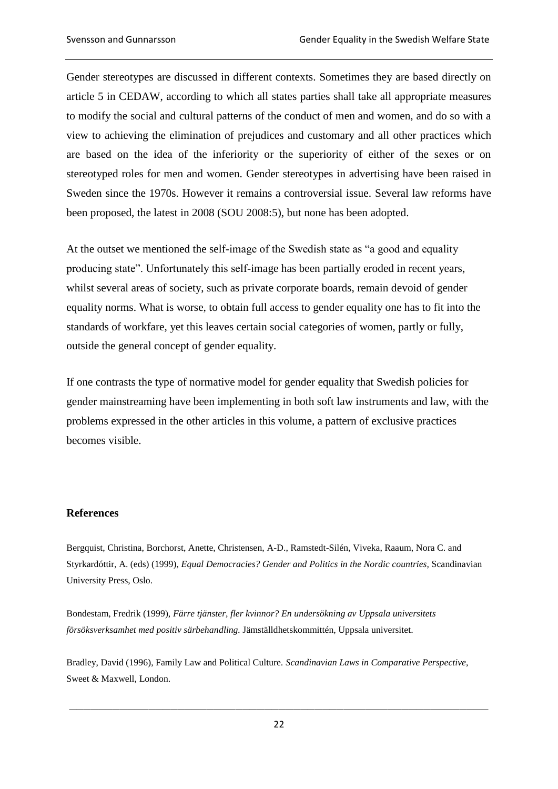Gender stereotypes are discussed in different contexts. Sometimes they are based directly on article 5 in CEDAW, according to which all states parties shall take all appropriate measures to modify the social and cultural patterns of the conduct of men and women, and do so with a view to achieving the elimination of prejudices and customary and all other practices which are based on the idea of the inferiority or the superiority of either of the sexes or on stereotyped roles for men and women. Gender stereotypes in advertising have been raised in Sweden since the 1970s. However it remains a controversial issue. Several law reforms have been proposed, the latest in 2008 (SOU 2008:5), but none has been adopted.

At the outset we mentioned the self-image of the Swedish state as "a good and equality producing state". Unfortunately this self-image has been partially eroded in recent years, whilst several areas of society, such as private corporate boards, remain devoid of gender equality norms. What is worse, to obtain full access to gender equality one has to fit into the standards of workfare, yet this leaves certain social categories of women, partly or fully, outside the general concept of gender equality.

If one contrasts the type of normative model for gender equality that Swedish policies for gender mainstreaming have been implementing in both soft law instruments and law, with the problems expressed in the other articles in this volume, a pattern of exclusive practices becomes visible.

# **References**

Bergquist, Christina, Borchorst, Anette, Christensen, A-D., Ramstedt-Silén, Viveka, Raaum, Nora C. and Styrkardóttir, A. (eds) (1999), *Equal Democracies? Gender and Politics in the Nordic countries,* Scandinavian University Press, Oslo.

Bondestam, Fredrik (1999), *Färre tjänster, fler kvinnor? En undersökning av Uppsala universitets försöksverksamhet med positiv särbehandling.* Jämställdhetskommittén, Uppsala universitet.

Bradley, David (1996), Family Law and Political Culture. *Scandinavian Laws in Comparative Perspective*, Sweet & Maxwell, London.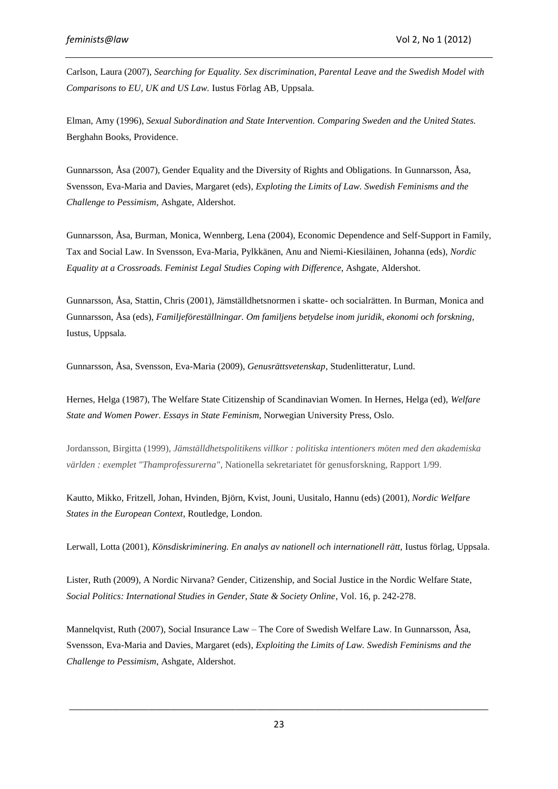Carlson, Laura (2007), *Searching for Equality. Sex discrimination, Parental Leave and the Swedish Model with Comparisons to EU, UK and US Law.* Iustus Förlag AB, Uppsala.

Elman, Amy (1996), *Sexual Subordination and State Intervention. Comparing Sweden and the United States.* Berghahn Books, Providence.

Gunnarsson, Åsa (2007), Gender Equality and the Diversity of Rights and Obligations. In Gunnarsson, Åsa, Svensson, Eva-Maria and Davies, Margaret (eds), *Exploting the Limits of Law. Swedish Feminisms and the Challenge to Pessimism*, Ashgate, Aldershot.

Gunnarsson, Åsa, Burman, Monica, Wennberg, Lena (2004), Economic Dependence and Self-Support in Family, Tax and Social Law. In Svensson, Eva-Maria, Pylkkänen, Anu and Niemi-Kiesiläinen, Johanna (eds), *Nordic Equality at a Crossroads. Feminist Legal Studies Coping with Difference*, Ashgate, Aldershot.

Gunnarsson, Åsa, Stattin, Chris (2001), Jämställdhetsnormen i skatte- och socialrätten. In Burman, Monica and Gunnarsson, Åsa (eds), *Familjeföreställningar. Om familjens betydelse inom juridik, ekonomi och forskning,* Iustus, Uppsala.

Gunnarsson, Åsa, Svensson, Eva-Maria (2009), *Genusrättsvetenskap*, Studenlitteratur, Lund.

Hernes, Helga (1987), The Welfare State Citizenship of Scandinavian Women. In Hernes, Helga (ed), *Welfare State and Women Power. Essays in State Feminism*, Norwegian University Press, Oslo.

Jordansson, Birgitta (1999), *Jämställdhetspolitikens villkor : politiska intentioners möten med den akademiska världen : exemplet "Thamprofessurerna"*, Nationella sekretariatet för genusforskning, Rapport 1/99.

Kautto, Mikko, Fritzell, Johan, Hvinden, Björn, Kvist, Jouni, Uusitalo, Hannu (eds) (2001), *Nordic Welfare States in the European Context*, Routledge, London.

Lerwall, Lotta (2001), *Könsdiskriminering. En analys av nationell och internationell rätt*, Iustus förlag, Uppsala.

Lister, Ruth (2009), A Nordic Nirvana? Gender, Citizenship, and Social Justice in the Nordic Welfare State, *Social Politics: International Studies in Gender, State & Society Online*, Vol. 16, p. 242-278.

Mannelqvist, Ruth (2007), Social Insurance Law – The Core of Swedish Welfare Law. In Gunnarsson, Åsa, Svensson, Eva-Maria and Davies, Margaret (eds), *Exploiting the Limits of Law. Swedish Feminisms and the Challenge to Pessimism*, Ashgate, Aldershot.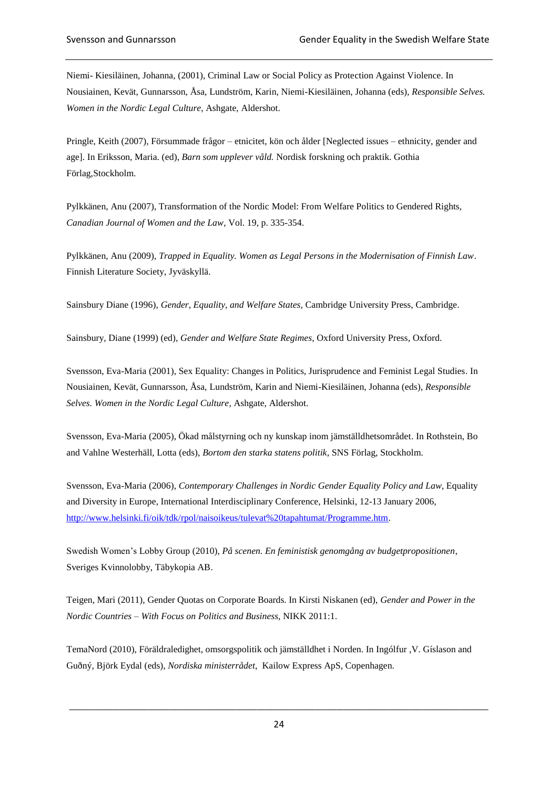Niemi- Kiesiläinen, Johanna, (2001), Criminal Law or Social Policy as Protection Against Violence. In Nousiainen, Kevät, Gunnarsson, Åsa, Lundström, Karin, Niemi-Kiesiläinen, Johanna (eds), *Responsible Selves. Women in the Nordic Legal Culture*, Ashgate, Aldershot.

Pringle, Keith (2007), Försummade frågor – etnicitet, kön och ålder [Neglected issues – ethnicity, gender and age]. In Eriksson, Maria. (ed), *Barn som upplever våld.* Nordisk forskning och praktik. Gothia Förlag,Stockholm.

Pylkkänen, Anu (2007), Transformation of the Nordic Model: From Welfare Politics to Gendered Rights, *Canadian Journal of Women and the Law*, Vol. 19, p. 335-354.

Pylkkänen, Anu (2009), *Trapped in Equality. Women as Legal Persons in the Modernisation of Finnish Law*. Finnish Literature Society, Jyväskyllä.

Sainsbury Diane (1996), *Gender, Equality, and Welfare States*, Cambridge University Press, Cambridge.

Sainsbury, Diane (1999) (ed), *Gender and Welfare State Regimes*, Oxford University Press, Oxford.

Svensson, Eva-Maria (2001), Sex Equality: Changes in Politics, Jurisprudence and Feminist Legal Studies. In Nousiainen, Kevät, Gunnarsson, Åsa, Lundström, Karin and Niemi-Kiesiläinen, Johanna (eds), *Responsible Selves. Women in the Nordic Legal Culture*, Ashgate, Aldershot.

Svensson, Eva-Maria (2005), Ökad målstyrning och ny kunskap inom jämställdhetsområdet. In Rothstein, Bo and Vahlne Westerhäll, Lotta (eds), *Bortom den starka statens politik*, SNS Förlag, Stockholm.

Svensson, Eva-Maria (2006), *Contemporary Challenges in Nordic Gender Equality Policy and Law*, Equality and Diversity in Europe, International Interdisciplinary Conference, Helsinki, 12-13 January 2006, [http://www.helsinki.fi/oik/tdk/rpol/naisoikeus/tulevat%20tapahtumat/Programme.htm.](http://www.helsinki.fi/oik/tdk/rpol/naisoikeus/tulevat%20tapahtumat/Programme.htm)

Swedish Women's Lobby Group (2010), *På scenen. En feministisk genomgång av budgetpropositionen*, Sveriges Kvinnolobby, Täbykopia AB.

Teigen, Mari (2011), Gender Quotas on Corporate Boards. In Kirsti Niskanen (ed), *Gender and Power in the Nordic Countries – With Focus on Politics and Business*, NIKK 2011:1.

TemaNord (2010), Föräldraledighet, omsorgspolitik och jämställdhet i Norden. In Ingólfur ,V. Gíslason and Guðný, Björk Eydal (eds), *Nordiska ministerrådet*, Kailow Express ApS, Copenhagen.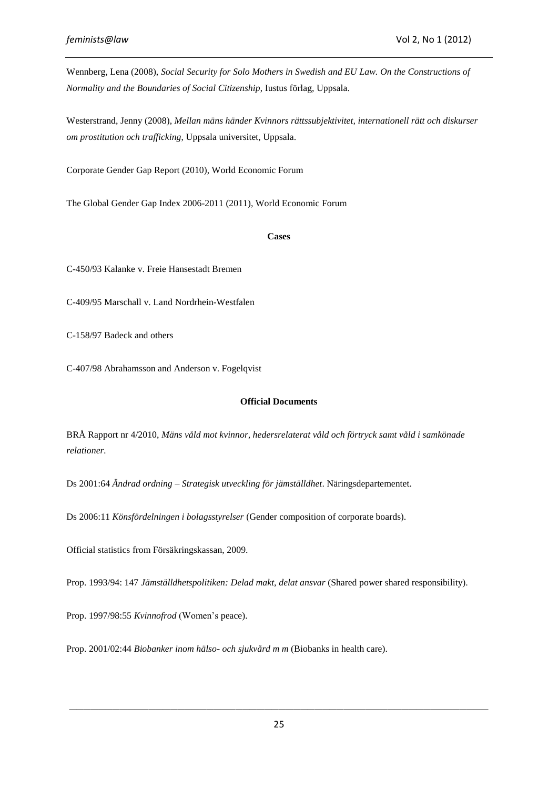Wennberg, Lena (2008), *Social Security for Solo Mothers in Swedish and EU Law. On the Constructions of Normality and the Boundaries of Social Citizenship*, Iustus förlag, Uppsala.

Westerstrand, Jenny (2008), *Mellan mäns händer Kvinnors rättssubjektivitet, internationell rätt och diskurser om prostitution och trafficking*, Uppsala universitet, Uppsala.

Corporate Gender Gap Report (2010), World Economic Forum

The Global Gender Gap Index 2006-2011 (2011), World Economic Forum

#### **Cases**

C-450/93 Kalanke v. Freie Hansestadt Bremen

C-409/95 Marschall v. Land Nordrhein-Westfalen

C-158/97 Badeck and others

C-407/98 Abrahamsson and Anderson v. Fogelqvist

#### **Official Documents**

BRÅ Rapport nr 4/2010, *Mäns våld mot kvinnor, hedersrelaterat våld och förtryck samt våld i samkönade relationer.*

Ds 2001:64 *Ändrad ordning – Strategisk utveckling för jämställdhet*. Näringsdepartementet.

Ds 2006:11 *Könsfördelningen i bolagsstyrelser* (Gender composition of corporate boards).

Official statistics from Försäkringskassan, 2009.

Prop. 1993/94: 147 *Jämställdhetspolitiken: Delad makt, delat ansvar* (Shared power shared responsibility).

Prop. 1997/98:55 *Kvinnofrod* (Women's peace).

Prop. 2001/02:44 *Biobanker inom hälso- och sjukvård m m* (Biobanks in health care).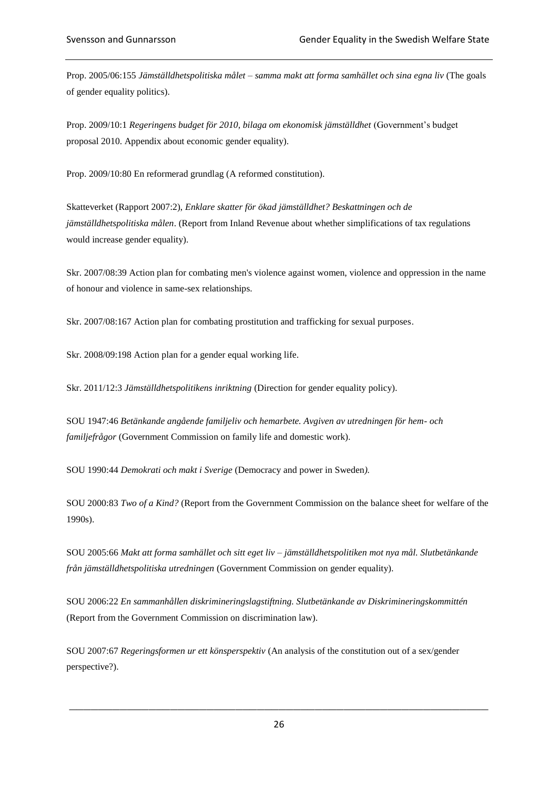Prop. 2005/06:155 *Jämställdhetspolitiska målet – samma makt att forma samhället och sina egna liv* (The goals of gender equality politics).

Prop. 2009/10:1 *Regeringens budget för 2010, bilaga om ekonomisk jämställdhet* (Government's budget proposal 2010. Appendix about economic gender equality).

Prop. 2009/10:80 En reformerad grundlag (A reformed constitution).

Skatteverket (Rapport 2007:2), *Enklare skatter för ökad jämställdhet? Beskattningen och de jämställdhetspolitiska målen*. (Report from Inland Revenue about whether simplifications of tax regulations would increase gender equality).

Skr. 2007/08:39 Action plan for combating men's violence against women, violence and oppression in the name of honour and violence in same-sex relationships.

Skr. 2007/08:167 Action plan for combating prostitution and trafficking for sexual purposes.

Skr. 2008/09:198 Action plan for a gender equal working life.

Skr. 2011/12:3 *Jämställdhetspolitikens inriktning* (Direction for gender equality policy).

SOU 1947:46 *Betänkande angående familjeliv och hemarbete. Avgiven av utredningen för hem- och familjefrågor* (Government Commission on family life and domestic work).

SOU 1990:44 *Demokrati och makt i Sverige* (Democracy and power in Sweden*).*

SOU 2000:83 *Two of a Kind?* (Report from the Government Commission on the balance sheet for welfare of the 1990s).

SOU 2005:66 *Makt att forma samhället och sitt eget liv – jämställdhetspolitiken mot nya mål. Slutbetänkande från jämställdhetspolitiska utredningen* (Government Commission on gender equality).

SOU 2006:22 *En sammanhållen diskrimineringslagstiftning. Slutbetänkande av Diskrimineringskommittén*  (Report from the Government Commission on discrimination law).

SOU 2007:67 *Regeringsformen ur ett könsperspektiv* (An analysis of the constitution out of a sex/gender perspective?).